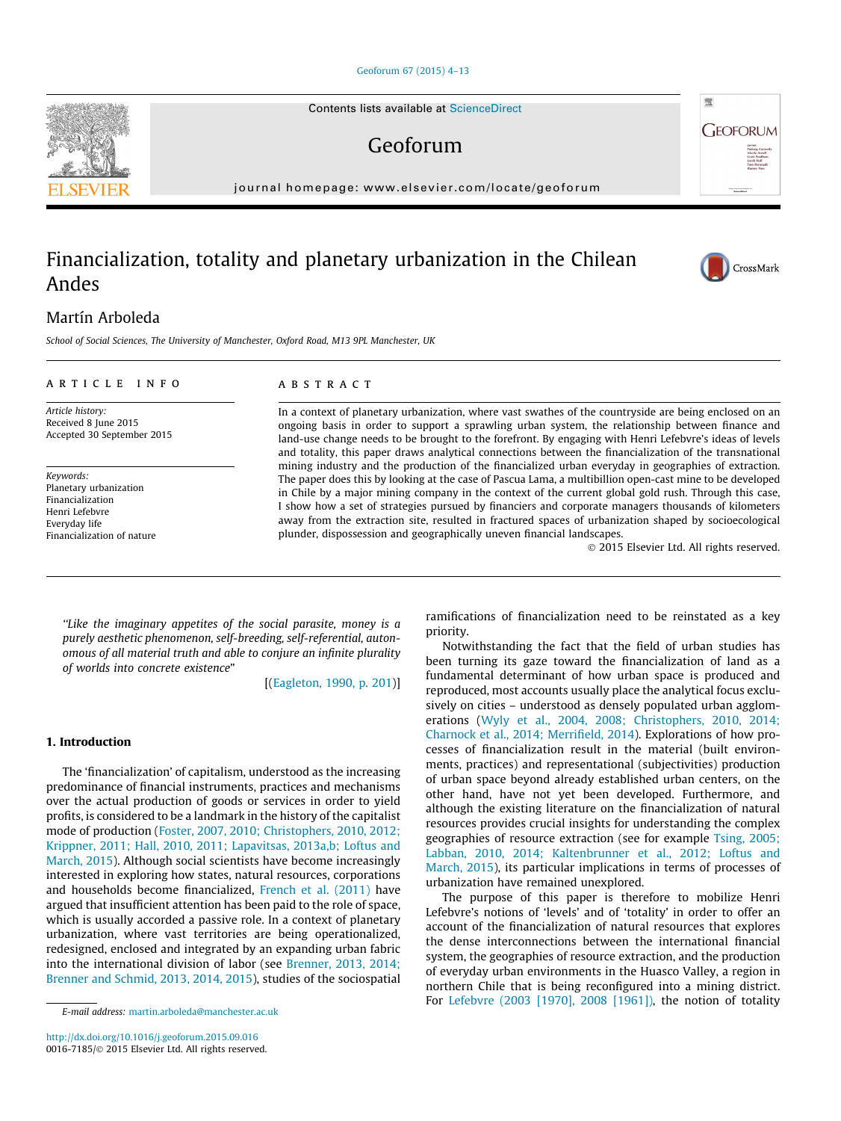#### [Geoforum 67 \(2015\) 4–13](http://dx.doi.org/10.1016/j.geoforum.2015.09.016)

# Geoforum

journal homepage: [www.elsevier.com/locate/geoforum](http://www.elsevier.com/locate/geoforum)

## Financialization, totality and planetary urbanization in the Chilean Andes

## Martín Arboleda

School of Social Sciences, The University of Manchester, Oxford Road, M13 9PL Manchester, UK

#### article info

Article history: Received 8 June 2015 Accepted 30 September 2015

Keywords: Planetary urbanization Financialization Henri Lefebvre Everyday life Financialization of nature

#### **ABSTRACT**

In a context of planetary urbanization, where vast swathes of the countryside are being enclosed on an ongoing basis in order to support a sprawling urban system, the relationship between finance and land-use change needs to be brought to the forefront. By engaging with Henri Lefebvre's ideas of levels and totality, this paper draws analytical connections between the financialization of the transnational mining industry and the production of the financialized urban everyday in geographies of extraction. The paper does this by looking at the case of Pascua Lama, a multibillion open-cast mine to be developed in Chile by a major mining company in the context of the current global gold rush. Through this case, I show how a set of strategies pursued by financiers and corporate managers thousands of kilometers away from the extraction site, resulted in fractured spaces of urbanization shaped by socioecological plunder, dispossession and geographically uneven financial landscapes.

2015 Elsevier Ltd. All rights reserved.

''Like the imaginary appetites of the social parasite, money is a purely aesthetic phenomenon, self-breeding, self-referential, autonomous of all material truth and able to conjure an infinite plurality of worlds into concrete existence"

[([Eagleton, 1990, p. 201\)](#page-8-0)]

#### 1. Introduction

The 'financialization' of capitalism, understood as the increasing predominance of financial instruments, practices and mechanisms over the actual production of goods or services in order to yield profits, is considered to be a landmark in the history of the capitalist mode of production ([Foster, 2007, 2010; Christophers, 2010, 2012;](#page-8-0) [Krippner, 2011; Hall, 2010, 2011; Lapavitsas, 2013a,b; Loftus and](#page-8-0) [March, 2015](#page-8-0)). Although social scientists have become increasingly interested in exploring how states, natural resources, corporations and households become financialized, [French et al. \(2011\)](#page-8-0) have argued that insufficient attention has been paid to the role of space, which is usually accorded a passive role. In a context of planetary urbanization, where vast territories are being operationalized, redesigned, enclosed and integrated by an expanding urban fabric into the international division of labor (see [Brenner, 2013, 2014;](#page-8-0) [Brenner and Schmid, 2013, 2014, 2015\)](#page-8-0), studies of the sociospatial ramifications of financialization need to be reinstated as a key priority.

Notwithstanding the fact that the field of urban studies has been turning its gaze toward the financialization of land as a fundamental determinant of how urban space is produced and reproduced, most accounts usually place the analytical focus exclusively on cities – understood as densely populated urban agglomerations ([Wyly et al., 2004, 2008; Christophers, 2010, 2014;](#page-9-0) [Charnock et al., 2014; Merrifield, 2014](#page-9-0)). Explorations of how processes of financialization result in the material (built environments, practices) and representational (subjectivities) production of urban space beyond already established urban centers, on the other hand, have not yet been developed. Furthermore, and although the existing literature on the financialization of natural resources provides crucial insights for understanding the complex geographies of resource extraction (see for example [Tsing, 2005;](#page-9-0) [Labban, 2010, 2014; Kaltenbrunner et al., 2012; Loftus and](#page-9-0) [March, 2015\)](#page-9-0), its particular implications in terms of processes of urbanization have remained unexplored.

The purpose of this paper is therefore to mobilize Henri Lefebvre's notions of 'levels' and of 'totality' in order to offer an account of the financialization of natural resources that explores the dense interconnections between the international financial system, the geographies of resource extraction, and the production of everyday urban environments in the Huasco Valley, a region in northern Chile that is being reconfigured into a mining district. For [Lefebvre \(2003 \[1970\], 2008 \[1961\]\)](#page-8-0), the notion of totality







E-mail address: [martin.arboleda@manchester.ac.uk](mailto:martin.arboleda@manchester.ac.uk)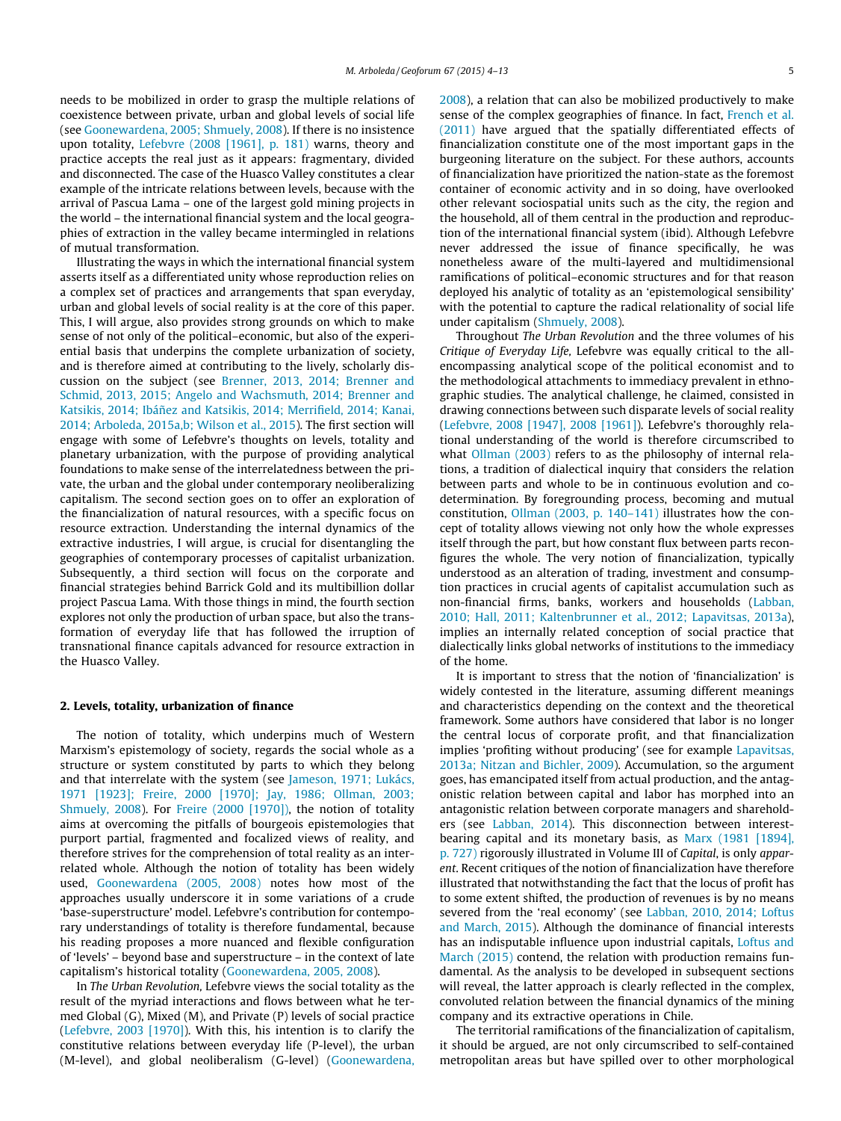needs to be mobilized in order to grasp the multiple relations of coexistence between private, urban and global levels of social life (see [Goonewardena, 2005; Shmuely, 2008](#page-8-0)). If there is no insistence upon totality, [Lefebvre \(2008 \[1961\], p. 181\)](#page-8-0) warns, theory and practice accepts the real just as it appears: fragmentary, divided and disconnected. The case of the Huasco Valley constitutes a clear example of the intricate relations between levels, because with the arrival of Pascua Lama – one of the largest gold mining projects in the world – the international financial system and the local geographies of extraction in the valley became intermingled in relations of mutual transformation.

Illustrating the ways in which the international financial system asserts itself as a differentiated unity whose reproduction relies on a complex set of practices and arrangements that span everyday, urban and global levels of social reality is at the core of this paper. This, I will argue, also provides strong grounds on which to make sense of not only of the political–economic, but also of the experiential basis that underpins the complete urbanization of society, and is therefore aimed at contributing to the lively, scholarly discussion on the subject (see [Brenner, 2013, 2014; Brenner and](#page-8-0) [Schmid, 2013, 2015; Angelo and Wachsmuth, 2014; Brenner and](#page-8-0) [Katsikis, 2014; Ibáñez and Katsikis, 2014; Merrifield, 2014; Kanai,](#page-8-0) [2014; Arboleda, 2015a,b; Wilson et al., 2015\)](#page-8-0). The first section will engage with some of Lefebvre's thoughts on levels, totality and planetary urbanization, with the purpose of providing analytical foundations to make sense of the interrelatedness between the private, the urban and the global under contemporary neoliberalizing capitalism. The second section goes on to offer an exploration of the financialization of natural resources, with a specific focus on resource extraction. Understanding the internal dynamics of the extractive industries, I will argue, is crucial for disentangling the geographies of contemporary processes of capitalist urbanization. Subsequently, a third section will focus on the corporate and financial strategies behind Barrick Gold and its multibillion dollar project Pascua Lama. With those things in mind, the fourth section explores not only the production of urban space, but also the transformation of everyday life that has followed the irruption of transnational finance capitals advanced for resource extraction in the Huasco Valley.

#### 2. Levels, totality, urbanization of finance

The notion of totality, which underpins much of Western Marxism's epistemology of society, regards the social whole as a structure or system constituted by parts to which they belong and that interrelate with the system (see [Jameson, 1971; Lukács,](#page-8-0) [1971 \[1923\]; Freire, 2000 \[1970\]; Jay, 1986; Ollman, 2003;](#page-8-0) [Shmuely, 2008](#page-8-0)). For [Freire \(2000 \[1970\]\)](#page-8-0), the notion of totality aims at overcoming the pitfalls of bourgeois epistemologies that purport partial, fragmented and focalized views of reality, and therefore strives for the comprehension of total reality as an interrelated whole. Although the notion of totality has been widely used, [Goonewardena \(2005, 2008\)](#page-8-0) notes how most of the approaches usually underscore it in some variations of a crude 'base-superstructure' model. Lefebvre's contribution for contemporary understandings of totality is therefore fundamental, because his reading proposes a more nuanced and flexible configuration of 'levels' – beyond base and superstructure – in the context of late capitalism's historical totality ([Goonewardena, 2005, 2008](#page-8-0)).

In The Urban Revolution, Lefebvre views the social totality as the result of the myriad interactions and flows between what he termed Global (G), Mixed (M), and Private (P) levels of social practice ([Lefebvre, 2003 \[1970\]](#page-8-0)). With this, his intention is to clarify the constitutive relations between everyday life (P-level), the urban (M-level), and global neoliberalism (G-level) ([Goonewardena,](#page-8-0) [2008](#page-8-0)), a relation that can also be mobilized productively to make sense of the complex geographies of finance. In fact, [French et al.](#page-8-0) [\(2011\)](#page-8-0) have argued that the spatially differentiated effects of financialization constitute one of the most important gaps in the burgeoning literature on the subject. For these authors, accounts of financialization have prioritized the nation-state as the foremost container of economic activity and in so doing, have overlooked other relevant sociospatial units such as the city, the region and the household, all of them central in the production and reproduction of the international financial system (ibid). Although Lefebvre never addressed the issue of finance specifically, he was nonetheless aware of the multi-layered and multidimensional ramifications of political–economic structures and for that reason deployed his analytic of totality as an 'epistemological sensibility' with the potential to capture the radical relationality of social life under capitalism [\(Shmuely, 2008](#page-9-0)).

Throughout The Urban Revolution and the three volumes of his Critique of Everyday Life, Lefebvre was equally critical to the allencompassing analytical scope of the political economist and to the methodological attachments to immediacy prevalent in ethnographic studies. The analytical challenge, he claimed, consisted in drawing connections between such disparate levels of social reality ([Lefebvre, 2008 \[1947\], 2008 \[1961\]\)](#page-8-0). Lefebvre's thoroughly relational understanding of the world is therefore circumscribed to what [Ollman \(2003\)](#page-8-0) refers to as the philosophy of internal relations, a tradition of dialectical inquiry that considers the relation between parts and whole to be in continuous evolution and codetermination. By foregrounding process, becoming and mutual constitution, [Ollman \(2003, p. 140–141\)](#page-8-0) illustrates how the concept of totality allows viewing not only how the whole expresses itself through the part, but how constant flux between parts reconfigures the whole. The very notion of financialization, typically understood as an alteration of trading, investment and consumption practices in crucial agents of capitalist accumulation such as non-financial firms, banks, workers and households ([Labban,](#page-8-0) [2010; Hall, 2011; Kaltenbrunner et al., 2012; Lapavitsas, 2013a\)](#page-8-0), implies an internally related conception of social practice that dialectically links global networks of institutions to the immediacy of the home.

It is important to stress that the notion of 'financialization' is widely contested in the literature, assuming different meanings and characteristics depending on the context and the theoretical framework. Some authors have considered that labor is no longer the central locus of corporate profit, and that financialization implies 'profiting without producing' (see for example [Lapavitsas,](#page-8-0) [2013a; Nitzan and Bichler, 2009\)](#page-8-0). Accumulation, so the argument goes, has emancipated itself from actual production, and the antagonistic relation between capital and labor has morphed into an antagonistic relation between corporate managers and shareholders (see [Labban, 2014](#page-8-0)). This disconnection between interestbearing capital and its monetary basis, as [Marx \(1981 \[1894\],](#page-8-0) [p. 727\)](#page-8-0) rigorously illustrated in Volume III of Capital, is only apparent. Recent critiques of the notion of financialization have therefore illustrated that notwithstanding the fact that the locus of profit has to some extent shifted, the production of revenues is by no means severed from the 'real economy' (see [Labban, 2010, 2014; Loftus](#page-8-0) [and March, 2015](#page-8-0)). Although the dominance of financial interests has an indisputable influence upon industrial capitals, [Loftus and](#page-8-0) [March \(2015\)](#page-8-0) contend, the relation with production remains fundamental. As the analysis to be developed in subsequent sections will reveal, the latter approach is clearly reflected in the complex, convoluted relation between the financial dynamics of the mining company and its extractive operations in Chile.

The territorial ramifications of the financialization of capitalism, it should be argued, are not only circumscribed to self-contained metropolitan areas but have spilled over to other morphological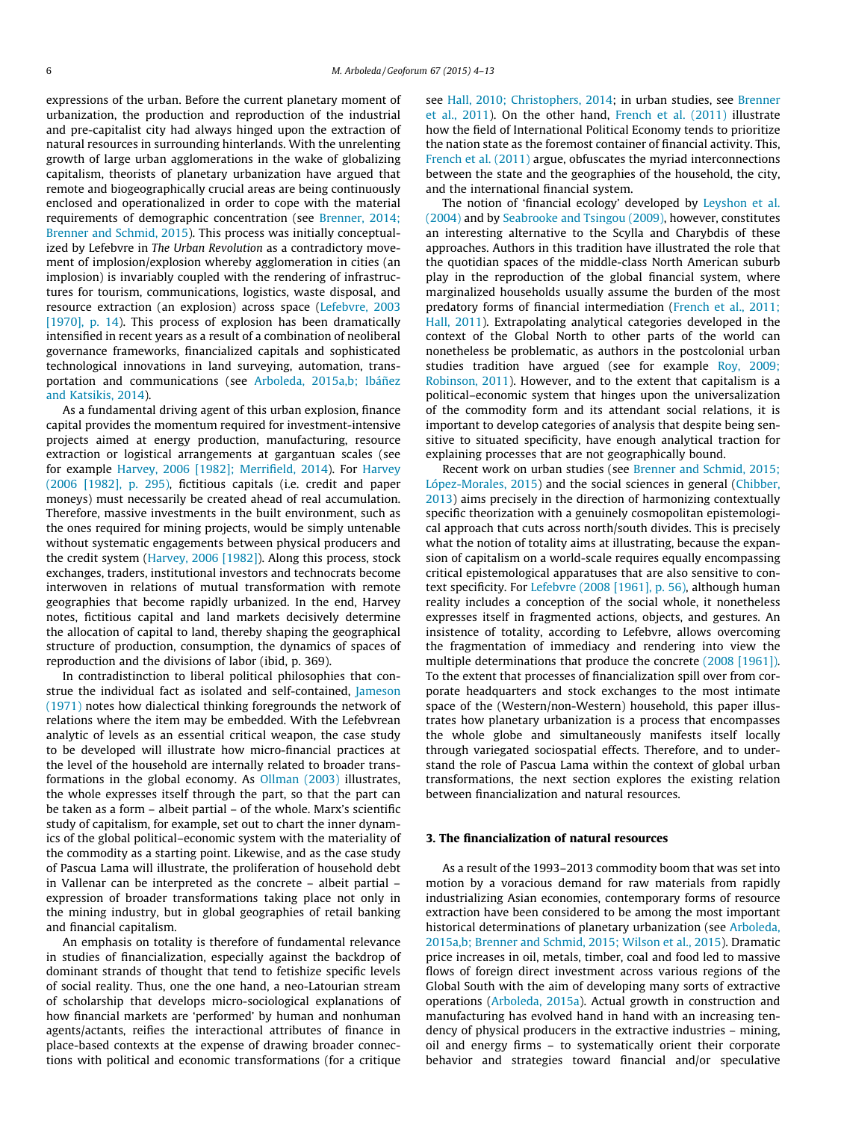expressions of the urban. Before the current planetary moment of urbanization, the production and reproduction of the industrial and pre-capitalist city had always hinged upon the extraction of natural resources in surrounding hinterlands. With the unrelenting growth of large urban agglomerations in the wake of globalizing capitalism, theorists of planetary urbanization have argued that remote and biogeographically crucial areas are being continuously enclosed and operationalized in order to cope with the material requirements of demographic concentration (see [Brenner, 2014;](#page-8-0) [Brenner and Schmid, 2015](#page-8-0)). This process was initially conceptualized by Lefebvre in The Urban Revolution as a contradictory movement of implosion/explosion whereby agglomeration in cities (an implosion) is invariably coupled with the rendering of infrastructures for tourism, communications, logistics, waste disposal, and resource extraction (an explosion) across space ([Lefebvre, 2003](#page-8-0) [\[1970\], p. 14](#page-8-0)). This process of explosion has been dramatically intensified in recent years as a result of a combination of neoliberal governance frameworks, financialized capitals and sophisticated technological innovations in land surveying, automation, transportation and communications (see [Arboleda, 2015a,b; Ibáñez](#page-8-0) [and Katsikis, 2014](#page-8-0)).

As a fundamental driving agent of this urban explosion, finance capital provides the momentum required for investment-intensive projects aimed at energy production, manufacturing, resource extraction or logistical arrangements at gargantuan scales (see for example [Harvey, 2006 \[1982\]; Merrifield, 2014](#page-8-0)). For [Harvey](#page-8-0) [\(2006 \[1982\], p. 295\),](#page-8-0) fictitious capitals (i.e. credit and paper moneys) must necessarily be created ahead of real accumulation. Therefore, massive investments in the built environment, such as the ones required for mining projects, would be simply untenable without systematic engagements between physical producers and the credit system ([Harvey, 2006 \[1982\]](#page-8-0)). Along this process, stock exchanges, traders, institutional investors and technocrats become interwoven in relations of mutual transformation with remote geographies that become rapidly urbanized. In the end, Harvey notes, fictitious capital and land markets decisively determine the allocation of capital to land, thereby shaping the geographical structure of production, consumption, the dynamics of spaces of reproduction and the divisions of labor (ibid, p. 369).

In contradistinction to liberal political philosophies that con-strue the individual fact as isolated and self-contained, [Jameson](#page-8-0) [\(1971\)](#page-8-0) notes how dialectical thinking foregrounds the network of relations where the item may be embedded. With the Lefebvrean analytic of levels as an essential critical weapon, the case study to be developed will illustrate how micro-financial practices at the level of the household are internally related to broader transformations in the global economy. As [Ollman \(2003\)](#page-8-0) illustrates, the whole expresses itself through the part, so that the part can be taken as a form – albeit partial – of the whole. Marx's scientific study of capitalism, for example, set out to chart the inner dynamics of the global political–economic system with the materiality of the commodity as a starting point. Likewise, and as the case study of Pascua Lama will illustrate, the proliferation of household debt in Vallenar can be interpreted as the concrete – albeit partial – expression of broader transformations taking place not only in the mining industry, but in global geographies of retail banking and financial capitalism.

An emphasis on totality is therefore of fundamental relevance in studies of financialization, especially against the backdrop of dominant strands of thought that tend to fetishize specific levels of social reality. Thus, one the one hand, a neo-Latourian stream of scholarship that develops micro-sociological explanations of how financial markets are 'performed' by human and nonhuman agents/actants, reifies the interactional attributes of finance in place-based contexts at the expense of drawing broader connections with political and economic transformations (for a critique see [Hall, 2010; Christophers, 2014;](#page-8-0) in urban studies, see [Brenner](#page-8-0) [et al., 2011\)](#page-8-0). On the other hand, [French et al. \(2011\)](#page-8-0) illustrate how the field of International Political Economy tends to prioritize the nation state as the foremost container of financial activity. This, [French et al. \(2011\)](#page-8-0) argue, obfuscates the myriad interconnections between the state and the geographies of the household, the city, and the international financial system.

The notion of 'financial ecology' developed by [Leyshon et al.](#page-8-0) [\(2004\)](#page-8-0) and by [Seabrooke and Tsingou \(2009\)](#page-9-0), however, constitutes an interesting alternative to the Scylla and Charybdis of these approaches. Authors in this tradition have illustrated the role that the quotidian spaces of the middle-class North American suburb play in the reproduction of the global financial system, where marginalized households usually assume the burden of the most predatory forms of financial intermediation [\(French et al., 2011;](#page-8-0) [Hall, 2011\)](#page-8-0). Extrapolating analytical categories developed in the context of the Global North to other parts of the world can nonetheless be problematic, as authors in the postcolonial urban studies tradition have argued (see for example [Roy, 2009;](#page-8-0) [Robinson, 2011\)](#page-8-0). However, and to the extent that capitalism is a political–economic system that hinges upon the universalization of the commodity form and its attendant social relations, it is important to develop categories of analysis that despite being sensitive to situated specificity, have enough analytical traction for explaining processes that are not geographically bound.

Recent work on urban studies (see [Brenner and Schmid, 2015;](#page-8-0) [López-Morales, 2015\)](#page-8-0) and the social sciences in general [\(Chibber,](#page-8-0) [2013\)](#page-8-0) aims precisely in the direction of harmonizing contextually specific theorization with a genuinely cosmopolitan epistemological approach that cuts across north/south divides. This is precisely what the notion of totality aims at illustrating, because the expansion of capitalism on a world-scale requires equally encompassing critical epistemological apparatuses that are also sensitive to context specificity. For [Lefebvre \(2008 \[1961\], p. 56\),](#page-8-0) although human reality includes a conception of the social whole, it nonetheless expresses itself in fragmented actions, objects, and gestures. An insistence of totality, according to Lefebvre, allows overcoming the fragmentation of immediacy and rendering into view the multiple determinations that produce the concrete [\(2008 \[1961\]\).](#page-8-0) To the extent that processes of financialization spill over from corporate headquarters and stock exchanges to the most intimate space of the (Western/non-Western) household, this paper illustrates how planetary urbanization is a process that encompasses the whole globe and simultaneously manifests itself locally through variegated sociospatial effects. Therefore, and to understand the role of Pascua Lama within the context of global urban transformations, the next section explores the existing relation between financialization and natural resources.

#### 3. The financialization of natural resources

As a result of the 1993–2013 commodity boom that was set into motion by a voracious demand for raw materials from rapidly industrializing Asian economies, contemporary forms of resource extraction have been considered to be among the most important historical determinations of planetary urbanization (see [Arboleda,](#page-8-0) [2015a,b; Brenner and Schmid, 2015; Wilson et al., 2015\)](#page-8-0). Dramatic price increases in oil, metals, timber, coal and food led to massive flows of foreign direct investment across various regions of the Global South with the aim of developing many sorts of extractive operations [\(Arboleda, 2015a\)](#page-8-0). Actual growth in construction and manufacturing has evolved hand in hand with an increasing tendency of physical producers in the extractive industries – mining, oil and energy firms – to systematically orient their corporate behavior and strategies toward financial and/or speculative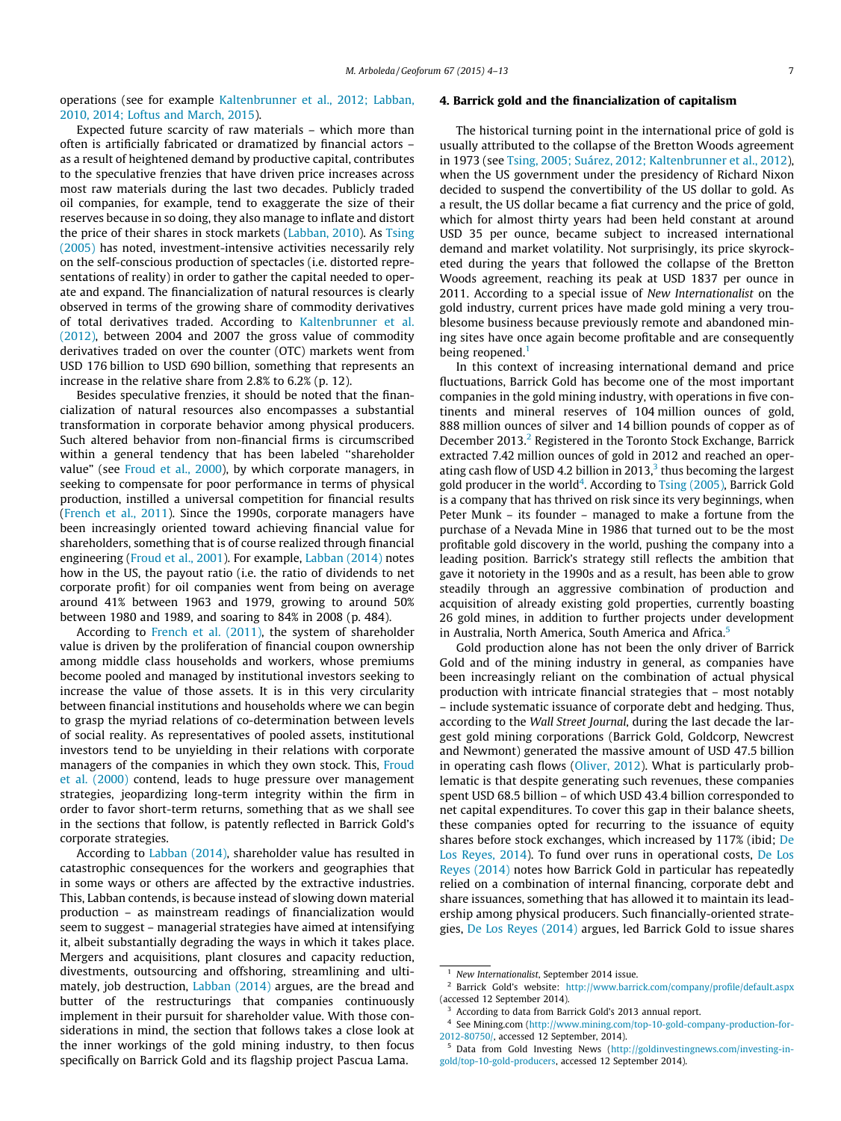operations (see for example [Kaltenbrunner et al., 2012; Labban,](#page-8-0) [2010, 2014; Loftus and March, 2015](#page-8-0)).

Expected future scarcity of raw materials – which more than often is artificially fabricated or dramatized by financial actors – as a result of heightened demand by productive capital, contributes to the speculative frenzies that have driven price increases across most raw materials during the last two decades. Publicly traded oil companies, for example, tend to exaggerate the size of their reserves because in so doing, they also manage to inflate and distort the price of their shares in stock markets [\(Labban, 2010](#page-8-0)). As [Tsing](#page-9-0) [\(2005\)](#page-9-0) has noted, investment-intensive activities necessarily rely on the self-conscious production of spectacles (i.e. distorted representations of reality) in order to gather the capital needed to operate and expand. The financialization of natural resources is clearly observed in terms of the growing share of commodity derivatives of total derivatives traded. According to [Kaltenbrunner et al.](#page-8-0) [\(2012\),](#page-8-0) between 2004 and 2007 the gross value of commodity derivatives traded on over the counter (OTC) markets went from USD 176 billion to USD 690 billion, something that represents an increase in the relative share from 2.8% to 6.2% (p. 12).

Besides speculative frenzies, it should be noted that the financialization of natural resources also encompasses a substantial transformation in corporate behavior among physical producers. Such altered behavior from non-financial firms is circumscribed within a general tendency that has been labeled ''shareholder value" (see [Froud et al., 2000](#page-8-0)), by which corporate managers, in seeking to compensate for poor performance in terms of physical production, instilled a universal competition for financial results ([French et al., 2011](#page-8-0)). Since the 1990s, corporate managers have been increasingly oriented toward achieving financial value for shareholders, something that is of course realized through financial engineering ([Froud et al., 2001](#page-8-0)). For example, [Labban \(2014\)](#page-8-0) notes how in the US, the payout ratio (i.e. the ratio of dividends to net corporate profit) for oil companies went from being on average around 41% between 1963 and 1979, growing to around 50% between 1980 and 1989, and soaring to 84% in 2008 (p. 484).

According to [French et al. \(2011\)](#page-8-0), the system of shareholder value is driven by the proliferation of financial coupon ownership among middle class households and workers, whose premiums become pooled and managed by institutional investors seeking to increase the value of those assets. It is in this very circularity between financial institutions and households where we can begin to grasp the myriad relations of co-determination between levels of social reality. As representatives of pooled assets, institutional investors tend to be unyielding in their relations with corporate managers of the companies in which they own stock. This, [Froud](#page-8-0) [et al. \(2000\)](#page-8-0) contend, leads to huge pressure over management strategies, jeopardizing long-term integrity within the firm in order to favor short-term returns, something that as we shall see in the sections that follow, is patently reflected in Barrick Gold's corporate strategies.

According to [Labban \(2014\),](#page-8-0) shareholder value has resulted in catastrophic consequences for the workers and geographies that in some ways or others are affected by the extractive industries. This, Labban contends, is because instead of slowing down material production – as mainstream readings of financialization would seem to suggest – managerial strategies have aimed at intensifying it, albeit substantially degrading the ways in which it takes place. Mergers and acquisitions, plant closures and capacity reduction, divestments, outsourcing and offshoring, streamlining and ultimately, job destruction, [Labban \(2014\)](#page-8-0) argues, are the bread and butter of the restructurings that companies continuously implement in their pursuit for shareholder value. With those considerations in mind, the section that follows takes a close look at the inner workings of the gold mining industry, to then focus specifically on Barrick Gold and its flagship project Pascua Lama.

### 4. Barrick gold and the financialization of capitalism

The historical turning point in the international price of gold is usually attributed to the collapse of the Bretton Woods agreement in 1973 (see [Tsing, 2005; Suárez, 2012; Kaltenbrunner et al., 2012\)](#page-9-0), when the US government under the presidency of Richard Nixon decided to suspend the convertibility of the US dollar to gold. As a result, the US dollar became a fiat currency and the price of gold, which for almost thirty years had been held constant at around USD 35 per ounce, became subject to increased international demand and market volatility. Not surprisingly, its price skyrocketed during the years that followed the collapse of the Bretton Woods agreement, reaching its peak at USD 1837 per ounce in 2011. According to a special issue of New Internationalist on the gold industry, current prices have made gold mining a very troublesome business because previously remote and abandoned mining sites have once again become profitable and are consequently being reopened.<sup>1</sup>

In this context of increasing international demand and price fluctuations, Barrick Gold has become one of the most important companies in the gold mining industry, with operations in five continents and mineral reserves of 104 million ounces of gold, 888 million ounces of silver and 14 billion pounds of copper as of December 2013.<sup>2</sup> Registered in the Toronto Stock Exchange, Barrick extracted 7.42 million ounces of gold in 2012 and reached an operating cash flow of USD 4.2 billion in 2013, $3$  thus becoming the largest gold producer in the world<sup>4</sup>. According to [Tsing \(2005\),](#page-9-0) Barrick Gold is a company that has thrived on risk since its very beginnings, when Peter Munk – its founder – managed to make a fortune from the purchase of a Nevada Mine in 1986 that turned out to be the most profitable gold discovery in the world, pushing the company into a leading position. Barrick's strategy still reflects the ambition that gave it notoriety in the 1990s and as a result, has been able to grow steadily through an aggressive combination of production and acquisition of already existing gold properties, currently boasting 26 gold mines, in addition to further projects under development in Australia, North America, South America and Africa.<sup>5</sup>

Gold production alone has not been the only driver of Barrick Gold and of the mining industry in general, as companies have been increasingly reliant on the combination of actual physical production with intricate financial strategies that – most notably – include systematic issuance of corporate debt and hedging. Thus, according to the Wall Street Journal, during the last decade the largest gold mining corporations (Barrick Gold, Goldcorp, Newcrest and Newmont) generated the massive amount of USD 47.5 billion in operating cash flows [\(Oliver, 2012\)](#page-8-0). What is particularly problematic is that despite generating such revenues, these companies spent USD 68.5 billion – of which USD 43.4 billion corresponded to net capital expenditures. To cover this gap in their balance sheets, these companies opted for recurring to the issuance of equity shares before stock exchanges, which increased by 117% (ibid; [De](#page-8-0) [Los Reyes, 2014](#page-8-0)). To fund over runs in operational costs, [De Los](#page-8-0) [Reyes \(2014\)](#page-8-0) notes how Barrick Gold in particular has repeatedly relied on a combination of internal financing, corporate debt and share issuances, something that has allowed it to maintain its leadership among physical producers. Such financially-oriented strategies, [De Los Reyes \(2014\)](#page-8-0) argues, led Barrick Gold to issue shares

<sup>&</sup>lt;sup>1</sup> New Internationalist, September 2014 issue.

<sup>2</sup> Barrick Gold's website: <http://www.barrick.com/company/profile/default.aspx> (accessed 12 September 2014).

According to data from Barrick Gold's 2013 annual report.

See Mining.com ([http://www.mining.com/top-10-gold-company-production-for-](http://www.mining.com/top-10-gold-company-production-for-2012-80750/)[2012-80750/,](http://www.mining.com/top-10-gold-company-production-for-2012-80750/) accessed 12 September, 2014).

<sup>5</sup> Data from Gold Investing News ([http://goldinvestingnews.com/investing-in](http://goldinvestingnews.com/investing-in-gold/top-10-gold-producers)[gold/top-10-gold-producers,](http://goldinvestingnews.com/investing-in-gold/top-10-gold-producers) accessed 12 September 2014).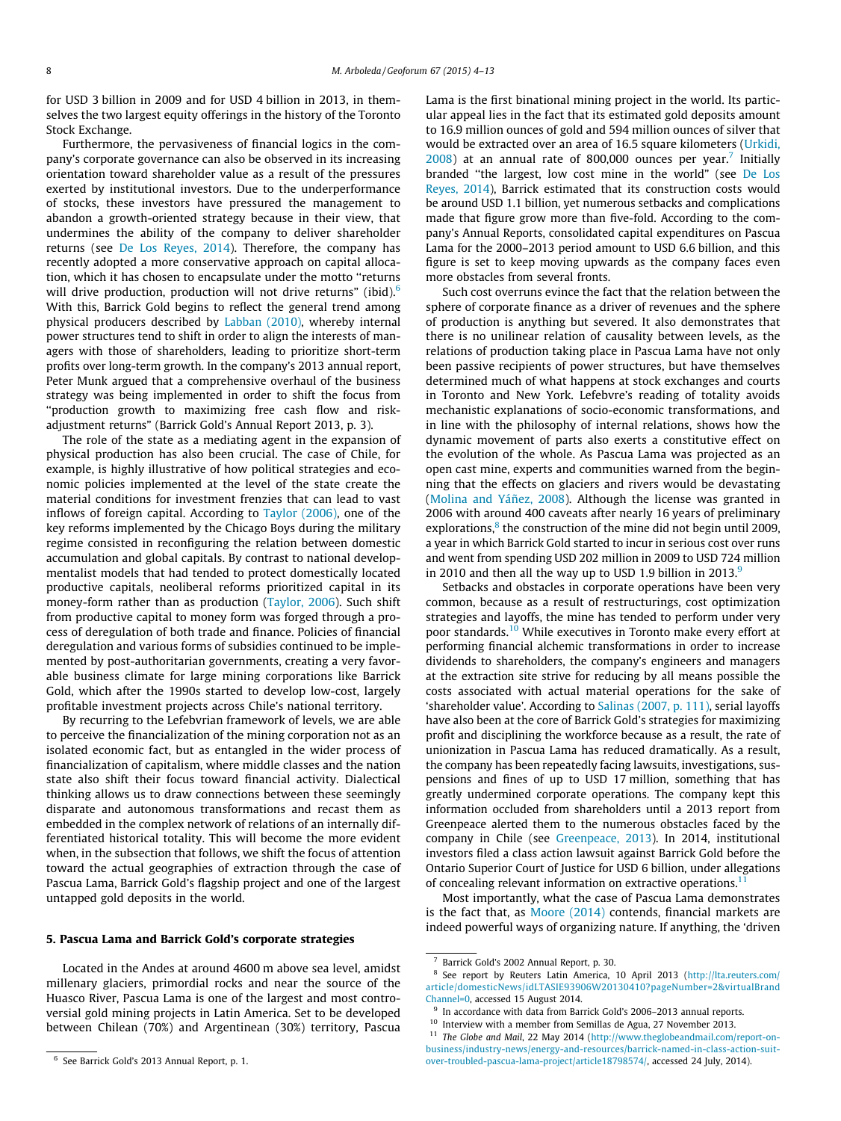for USD 3 billion in 2009 and for USD 4 billion in 2013, in themselves the two largest equity offerings in the history of the Toronto Stock Exchange.

Furthermore, the pervasiveness of financial logics in the company's corporate governance can also be observed in its increasing orientation toward shareholder value as a result of the pressures exerted by institutional investors. Due to the underperformance of stocks, these investors have pressured the management to abandon a growth-oriented strategy because in their view, that undermines the ability of the company to deliver shareholder returns (see [De Los Reyes, 2014\)](#page-8-0). Therefore, the company has recently adopted a more conservative approach on capital allocation, which it has chosen to encapsulate under the motto ''returns will drive production, production will not drive returns" (ibid). $6$ With this, Barrick Gold begins to reflect the general trend among physical producers described by [Labban \(2010\)](#page-8-0), whereby internal power structures tend to shift in order to align the interests of managers with those of shareholders, leading to prioritize short-term profits over long-term growth. In the company's 2013 annual report, Peter Munk argued that a comprehensive overhaul of the business strategy was being implemented in order to shift the focus from ''production growth to maximizing free cash flow and riskadjustment returns" (Barrick Gold's Annual Report 2013, p. 3).

The role of the state as a mediating agent in the expansion of physical production has also been crucial. The case of Chile, for example, is highly illustrative of how political strategies and economic policies implemented at the level of the state create the material conditions for investment frenzies that can lead to vast inflows of foreign capital. According to [Taylor \(2006\),](#page-9-0) one of the key reforms implemented by the Chicago Boys during the military regime consisted in reconfiguring the relation between domestic accumulation and global capitals. By contrast to national developmentalist models that had tended to protect domestically located productive capitals, neoliberal reforms prioritized capital in its money-form rather than as production ([Taylor, 2006](#page-9-0)). Such shift from productive capital to money form was forged through a process of deregulation of both trade and finance. Policies of financial deregulation and various forms of subsidies continued to be implemented by post-authoritarian governments, creating a very favorable business climate for large mining corporations like Barrick Gold, which after the 1990s started to develop low-cost, largely profitable investment projects across Chile's national territory.

By recurring to the Lefebvrian framework of levels, we are able to perceive the financialization of the mining corporation not as an isolated economic fact, but as entangled in the wider process of financialization of capitalism, where middle classes and the nation state also shift their focus toward financial activity. Dialectical thinking allows us to draw connections between these seemingly disparate and autonomous transformations and recast them as embedded in the complex network of relations of an internally differentiated historical totality. This will become the more evident when, in the subsection that follows, we shift the focus of attention toward the actual geographies of extraction through the case of Pascua Lama, Barrick Gold's flagship project and one of the largest untapped gold deposits in the world.

#### 5. Pascua Lama and Barrick Gold's corporate strategies

Located in the Andes at around 4600 m above sea level, amidst millenary glaciers, primordial rocks and near the source of the Huasco River, Pascua Lama is one of the largest and most controversial gold mining projects in Latin America. Set to be developed between Chilean (70%) and Argentinean (30%) territory, Pascua

Lama is the first binational mining project in the world. Its particular appeal lies in the fact that its estimated gold deposits amount to 16.9 million ounces of gold and 594 million ounces of silver that would be extracted over an area of 16.5 square kilometers [\(Urkidi,](#page-9-0)  $2008$ ) at an annual rate of 800,000 ounces per year.<sup>7</sup> Initially branded ''the largest, low cost mine in the world" (see [De Los](#page-8-0) [Reyes, 2014\)](#page-8-0), Barrick estimated that its construction costs would be around USD 1.1 billion, yet numerous setbacks and complications made that figure grow more than five-fold. According to the company's Annual Reports, consolidated capital expenditures on Pascua Lama for the 2000–2013 period amount to USD 6.6 billion, and this figure is set to keep moving upwards as the company faces even more obstacles from several fronts.

Such cost overruns evince the fact that the relation between the sphere of corporate finance as a driver of revenues and the sphere of production is anything but severed. It also demonstrates that there is no unilinear relation of causality between levels, as the relations of production taking place in Pascua Lama have not only been passive recipients of power structures, but have themselves determined much of what happens at stock exchanges and courts in Toronto and New York. Lefebvre's reading of totality avoids mechanistic explanations of socio-economic transformations, and in line with the philosophy of internal relations, shows how the dynamic movement of parts also exerts a constitutive effect on the evolution of the whole. As Pascua Lama was projected as an open cast mine, experts and communities warned from the beginning that the effects on glaciers and rivers would be devastating ([Molina and Yáñez, 2008](#page-8-0)). Although the license was granted in 2006 with around 400 caveats after nearly 16 years of preliminary explorations,<sup>8</sup> the construction of the mine did not begin until 2009, a year in which Barrick Gold started to incur in serious cost over runs and went from spending USD 202 million in 2009 to USD 724 million in 2010 and then all the way up to USD 1.9 billion in 2013. $9$ 

Setbacks and obstacles in corporate operations have been very common, because as a result of restructurings, cost optimization strategies and layoffs, the mine has tended to perform under very poor standards.<sup>10</sup> While executives in Toronto make every effort at performing financial alchemic transformations in order to increase dividends to shareholders, the company's engineers and managers at the extraction site strive for reducing by all means possible the costs associated with actual material operations for the sake of 'shareholder value'. According to [Salinas \(2007, p. 111\)](#page-8-0), serial layoffs have also been at the core of Barrick Gold's strategies for maximizing profit and disciplining the workforce because as a result, the rate of unionization in Pascua Lama has reduced dramatically. As a result, the company has been repeatedly facing lawsuits, investigations, suspensions and fines of up to USD 17 million, something that has greatly undermined corporate operations. The company kept this information occluded from shareholders until a 2013 report from Greenpeace alerted them to the numerous obstacles faced by the company in Chile (see [Greenpeace, 2013\)](#page-8-0). In 2014, institutional investors filed a class action lawsuit against Barrick Gold before the Ontario Superior Court of Justice for USD 6 billion, under allegations of concealing relevant information on extractive operations.<sup>11</sup>

Most importantly, what the case of Pascua Lama demonstrates is the fact that, as [Moore \(2014\)](#page-8-0) contends, financial markets are indeed powerful ways of organizing nature. If anything, the 'driven

<sup>6</sup> See Barrick Gold's 2013 Annual Report, p. 1.

<sup>7</sup> Barrick Gold's 2002 Annual Report, p. 30.

<sup>8</sup> See report by Reuters Latin America, 10 April 2013 [\(http://lta.reuters.com/](http://lta.reuters.com/article/domesticNews/idLTASIE93906W20130410?pageNumber=2%26virtualBrandChannel=0) [article/domesticNews/idLTASIE93906W20130410?pageNumber=2&virtualBrand](http://lta.reuters.com/article/domesticNews/idLTASIE93906W20130410?pageNumber=2%26virtualBrandChannel=0) [Channel=0,](http://lta.reuters.com/article/domesticNews/idLTASIE93906W20130410?pageNumber=2%26virtualBrandChannel=0) accessed 15 August 2014.

<sup>&</sup>lt;sup>9</sup> In accordance with data from Barrick Gold's 2006–2013 annual reports.

<sup>&</sup>lt;sup>10</sup> Interview with a member from Semillas de Agua, 27 November 2013.

<sup>11</sup> The Globe and Mail, 22 May 2014 ([http://www.theglobeandmail.com/report-on](http://www.theglobeandmail.com/report-on-business/industry-news/energy-and-resources/barrick-named-in-class-action-suit-over-troubled-pascua-lama-project/article18798574/)[business/industry-news/energy-and-resources/barrick-named-in-class-action-suit](http://www.theglobeandmail.com/report-on-business/industry-news/energy-and-resources/barrick-named-in-class-action-suit-over-troubled-pascua-lama-project/article18798574/)[over-troubled-pascua-lama-project/article18798574/](http://www.theglobeandmail.com/report-on-business/industry-news/energy-and-resources/barrick-named-in-class-action-suit-over-troubled-pascua-lama-project/article18798574/), accessed 24 July, 2014).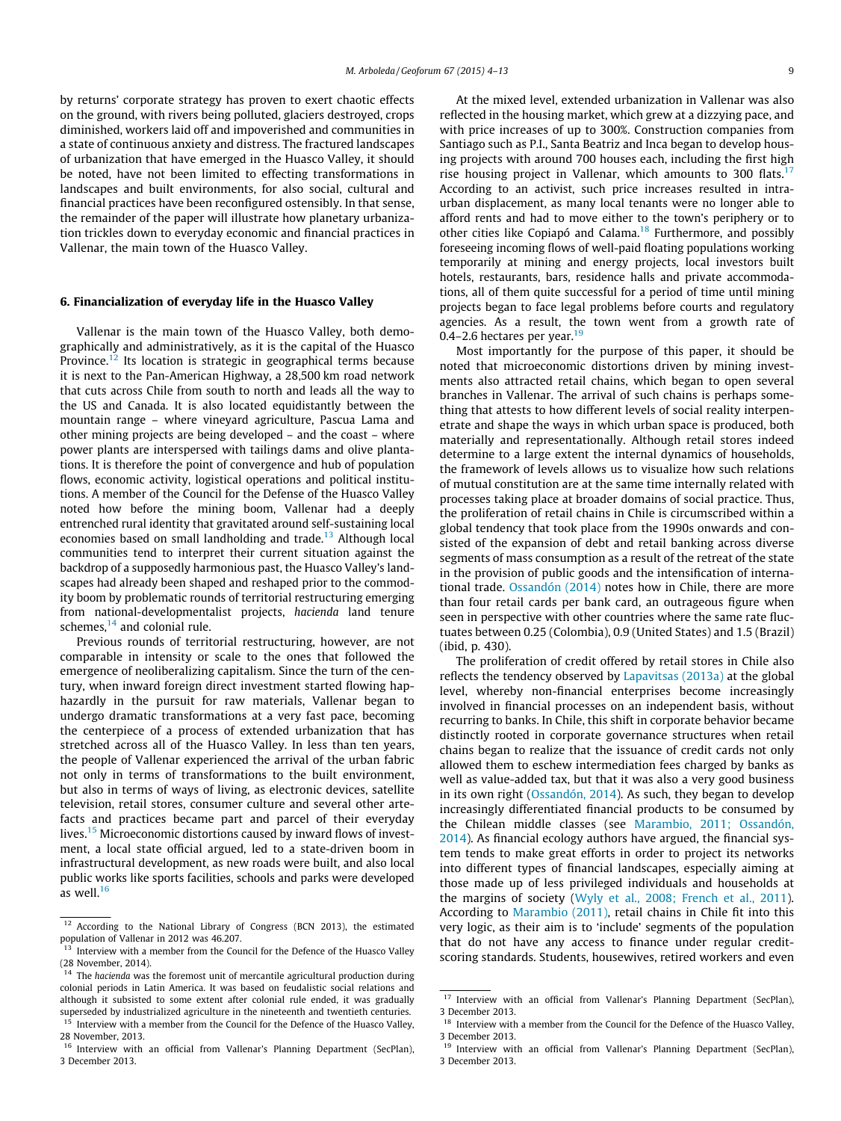by returns' corporate strategy has proven to exert chaotic effects on the ground, with rivers being polluted, glaciers destroyed, crops diminished, workers laid off and impoverished and communities in a state of continuous anxiety and distress. The fractured landscapes of urbanization that have emerged in the Huasco Valley, it should be noted, have not been limited to effecting transformations in landscapes and built environments, for also social, cultural and financial practices have been reconfigured ostensibly. In that sense, the remainder of the paper will illustrate how planetary urbanization trickles down to everyday economic and financial practices in Vallenar, the main town of the Huasco Valley.

#### 6. Financialization of everyday life in the Huasco Valley

Vallenar is the main town of the Huasco Valley, both demographically and administratively, as it is the capital of the Huasco Province.<sup>12</sup> Its location is strategic in geographical terms because it is next to the Pan-American Highway, a 28,500 km road network that cuts across Chile from south to north and leads all the way to the US and Canada. It is also located equidistantly between the mountain range – where vineyard agriculture, Pascua Lama and other mining projects are being developed – and the coast – where power plants are interspersed with tailings dams and olive plantations. It is therefore the point of convergence and hub of population flows, economic activity, logistical operations and political institutions. A member of the Council for the Defense of the Huasco Valley noted how before the mining boom, Vallenar had a deeply entrenched rural identity that gravitated around self-sustaining local economies based on small landholding and trade.<sup>13</sup> Although local communities tend to interpret their current situation against the backdrop of a supposedly harmonious past, the Huasco Valley's landscapes had already been shaped and reshaped prior to the commodity boom by problematic rounds of territorial restructuring emerging from national-developmentalist projects, hacienda land tenure schemes, $14$  and colonial rule.

Previous rounds of territorial restructuring, however, are not comparable in intensity or scale to the ones that followed the emergence of neoliberalizing capitalism. Since the turn of the century, when inward foreign direct investment started flowing haphazardly in the pursuit for raw materials, Vallenar began to undergo dramatic transformations at a very fast pace, becoming the centerpiece of a process of extended urbanization that has stretched across all of the Huasco Valley. In less than ten years, the people of Vallenar experienced the arrival of the urban fabric not only in terms of transformations to the built environment, but also in terms of ways of living, as electronic devices, satellite television, retail stores, consumer culture and several other artefacts and practices became part and parcel of their everyday lives.<sup>15</sup> Microeconomic distortions caused by inward flows of investment, a local state official argued, led to a state-driven boom in infrastructural development, as new roads were built, and also local public works like sports facilities, schools and parks were developed as well. $16$ 

At the mixed level, extended urbanization in Vallenar was also reflected in the housing market, which grew at a dizzying pace, and with price increases of up to 300%. Construction companies from Santiago such as P.I., Santa Beatriz and Inca began to develop housing projects with around 700 houses each, including the first high rise housing project in Vallenar, which amounts to 300 flats. $17$ According to an activist, such price increases resulted in intraurban displacement, as many local tenants were no longer able to afford rents and had to move either to the town's periphery or to other cities like Copiapó and Calama. $18$  Furthermore, and possibly foreseeing incoming flows of well-paid floating populations working temporarily at mining and energy projects, local investors built hotels, restaurants, bars, residence halls and private accommodations, all of them quite successful for a period of time until mining projects began to face legal problems before courts and regulatory agencies. As a result, the town went from a growth rate of 0.4–2.6 hectares per year. $19$ 

Most importantly for the purpose of this paper, it should be noted that microeconomic distortions driven by mining investments also attracted retail chains, which began to open several branches in Vallenar. The arrival of such chains is perhaps something that attests to how different levels of social reality interpenetrate and shape the ways in which urban space is produced, both materially and representationally. Although retail stores indeed determine to a large extent the internal dynamics of households, the framework of levels allows us to visualize how such relations of mutual constitution are at the same time internally related with processes taking place at broader domains of social practice. Thus, the proliferation of retail chains in Chile is circumscribed within a global tendency that took place from the 1990s onwards and consisted of the expansion of debt and retail banking across diverse segments of mass consumption as a result of the retreat of the state in the provision of public goods and the intensification of international trade. [Ossandón \(2014\)](#page-8-0) notes how in Chile, there are more than four retail cards per bank card, an outrageous figure when seen in perspective with other countries where the same rate fluctuates between 0.25 (Colombia), 0.9 (United States) and 1.5 (Brazil) (ibid, p. 430).

The proliferation of credit offered by retail stores in Chile also reflects the tendency observed by [Lapavitsas \(2013a\)](#page-8-0) at the global level, whereby non-financial enterprises become increasingly involved in financial processes on an independent basis, without recurring to banks. In Chile, this shift in corporate behavior became distinctly rooted in corporate governance structures when retail chains began to realize that the issuance of credit cards not only allowed them to eschew intermediation fees charged by banks as well as value-added tax, but that it was also a very good business in its own right [\(Ossandón, 2014\)](#page-8-0). As such, they began to develop increasingly differentiated financial products to be consumed by the Chilean middle classes (see [Marambio, 2011; Ossandón,](#page-8-0) [2014](#page-8-0)). As financial ecology authors have argued, the financial system tends to make great efforts in order to project its networks into different types of financial landscapes, especially aiming at those made up of less privileged individuals and households at the margins of society [\(Wyly et al., 2008; French et al., 2011\)](#page-9-0). According to [Marambio \(2011\)](#page-8-0), retail chains in Chile fit into this very logic, as their aim is to 'include' segments of the population that do not have any access to finance under regular creditscoring standards. Students, housewives, retired workers and even

<sup>&</sup>lt;sup>12</sup> According to the National Library of Congress (BCN 2013), the estimated population of Vallenar in 2012 was 46.207.

Interview with a member from the Council for the Defence of the Huasco Valley (28 November, 2014).

 $14$  The hacienda was the foremost unit of mercantile agricultural production during colonial periods in Latin America. It was based on feudalistic social relations and although it subsisted to some extent after colonial rule ended, it was gradually superseded by industrialized agriculture in the nineteenth and twentieth centuries.

Interview with a member from the Council for the Defence of the Huasco Valley, 28 November, 2013.

<sup>&</sup>lt;sup>16</sup> Interview with an official from Vallenar's Planning Department (SecPlan), 3 December 2013.

 $17$  Interview with an official from Vallenar's Planning Department (SecPlan), 3 December 2013.

<sup>&</sup>lt;sup>18</sup> Interview with a member from the Council for the Defence of the Huasco Valley, 3 December 2013.

<sup>&</sup>lt;sup>19</sup> Interview with an official from Vallenar's Planning Department (SecPlan), 3 December 2013.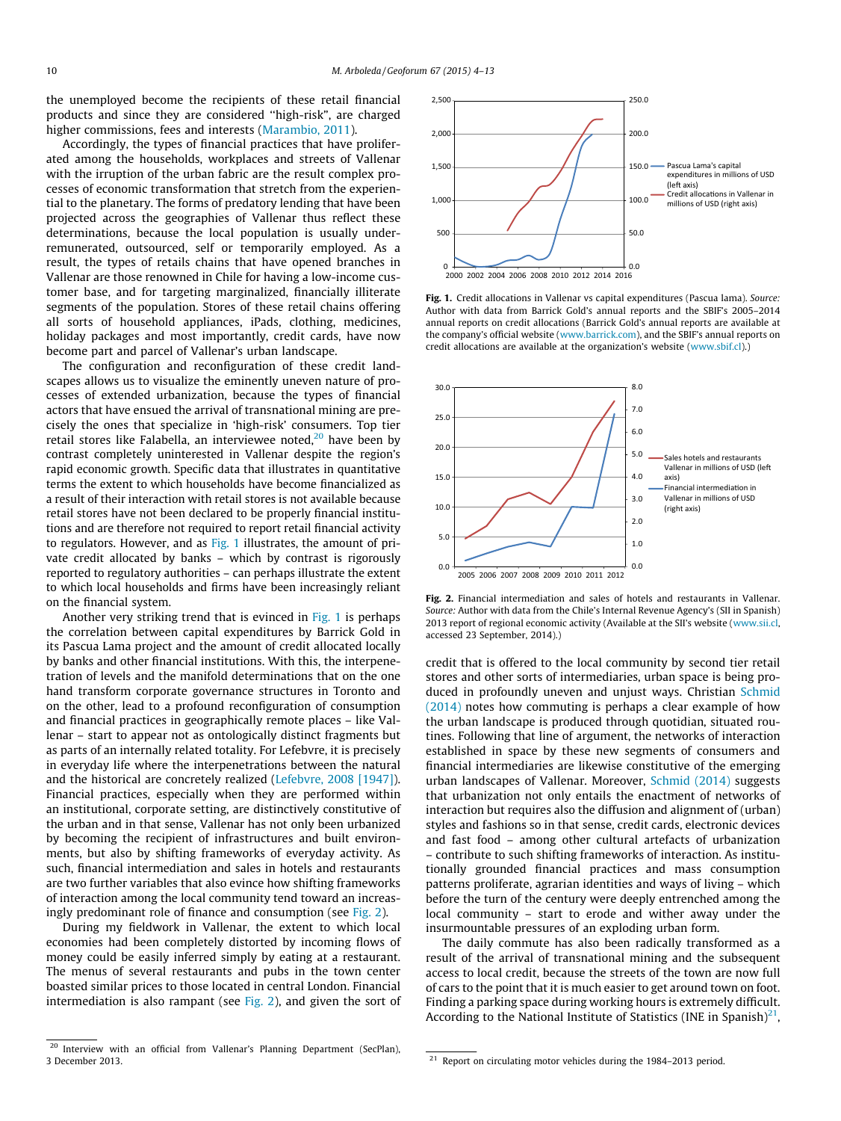the unemployed become the recipients of these retail financial products and since they are considered ''high-risk", are charged higher commissions, fees and interests ([Marambio, 2011](#page-8-0)).

Accordingly, the types of financial practices that have proliferated among the households, workplaces and streets of Vallenar with the irruption of the urban fabric are the result complex processes of economic transformation that stretch from the experiential to the planetary. The forms of predatory lending that have been projected across the geographies of Vallenar thus reflect these determinations, because the local population is usually underremunerated, outsourced, self or temporarily employed. As a result, the types of retails chains that have opened branches in Vallenar are those renowned in Chile for having a low-income customer base, and for targeting marginalized, financially illiterate segments of the population. Stores of these retail chains offering all sorts of household appliances, iPads, clothing, medicines, holiday packages and most importantly, credit cards, have now become part and parcel of Vallenar's urban landscape.

The configuration and reconfiguration of these credit landscapes allows us to visualize the eminently uneven nature of processes of extended urbanization, because the types of financial actors that have ensued the arrival of transnational mining are precisely the ones that specialize in 'high-risk' consumers. Top tier retail stores like Falabella, an interviewee noted, $20$  have been by contrast completely uninterested in Vallenar despite the region's rapid economic growth. Specific data that illustrates in quantitative terms the extent to which households have become financialized as a result of their interaction with retail stores is not available because retail stores have not been declared to be properly financial institutions and are therefore not required to report retail financial activity to regulators. However, and as Fig. 1 illustrates, the amount of private credit allocated by banks – which by contrast is rigorously reported to regulatory authorities – can perhaps illustrate the extent to which local households and firms have been increasingly reliant on the financial system.

Another very striking trend that is evinced in Fig. 1 is perhaps the correlation between capital expenditures by Barrick Gold in its Pascua Lama project and the amount of credit allocated locally by banks and other financial institutions. With this, the interpenetration of levels and the manifold determinations that on the one hand transform corporate governance structures in Toronto and on the other, lead to a profound reconfiguration of consumption and financial practices in geographically remote places – like Vallenar – start to appear not as ontologically distinct fragments but as parts of an internally related totality. For Lefebvre, it is precisely in everyday life where the interpenetrations between the natural and the historical are concretely realized [\(Lefebvre, 2008 \[1947\]\)](#page-8-0). Financial practices, especially when they are performed within an institutional, corporate setting, are distinctively constitutive of the urban and in that sense, Vallenar has not only been urbanized by becoming the recipient of infrastructures and built environments, but also by shifting frameworks of everyday activity. As such, financial intermediation and sales in hotels and restaurants are two further variables that also evince how shifting frameworks of interaction among the local community tend toward an increasingly predominant role of finance and consumption (see Fig. 2).

During my fieldwork in Vallenar, the extent to which local economies had been completely distorted by incoming flows of money could be easily inferred simply by eating at a restaurant. The menus of several restaurants and pubs in the town center boasted similar prices to those located in central London. Financial intermediation is also rampant (see Fig. 2), and given the sort of



Fig. 1. Credit allocations in Vallenar vs capital expenditures (Pascua lama). Source: Author with data from Barrick Gold's annual reports and the SBIF's 2005–2014 annual reports on credit allocations (Barrick Gold's annual reports are available at the company's official website ([www.barrick.com\)](http://www.barrick.com), and the SBIF's annual reports on credit allocations are available at the organization's website [\(www.sbif.cl](http://www.sbif.cl)).)



Fig. 2. Financial intermediation and sales of hotels and restaurants in Vallenar. Source: Author with data from the Chile's Internal Revenue Agency's (SII in Spanish) 2013 report of regional economic activity (Available at the SII's website [\(www.sii.cl](http://www.sii.cl), accessed 23 September, 2014).)

credit that is offered to the local community by second tier retail stores and other sorts of intermediaries, urban space is being produced in profoundly uneven and unjust ways. Christian [Schmid](#page-8-0) [\(2014\)](#page-8-0) notes how commuting is perhaps a clear example of how the urban landscape is produced through quotidian, situated routines. Following that line of argument, the networks of interaction established in space by these new segments of consumers and financial intermediaries are likewise constitutive of the emerging urban landscapes of Vallenar. Moreover, [Schmid \(2014\)](#page-8-0) suggests that urbanization not only entails the enactment of networks of interaction but requires also the diffusion and alignment of (urban) styles and fashions so in that sense, credit cards, electronic devices and fast food – among other cultural artefacts of urbanization – contribute to such shifting frameworks of interaction. As institutionally grounded financial practices and mass consumption patterns proliferate, agrarian identities and ways of living – which before the turn of the century were deeply entrenched among the local community – start to erode and wither away under the insurmountable pressures of an exploding urban form.

The daily commute has also been radically transformed as a result of the arrival of transnational mining and the subsequent access to local credit, because the streets of the town are now full of cars to the point that it is much easier to get around town on foot. Finding a parking space during working hours is extremely difficult. According to the National Institute of Statistics (INE in Spanish) $^{21}$ ,

<sup>&</sup>lt;sup>20</sup> Interview with an official from Vallenar's Planning Department (SecPlan), 3 December 2013. 2013.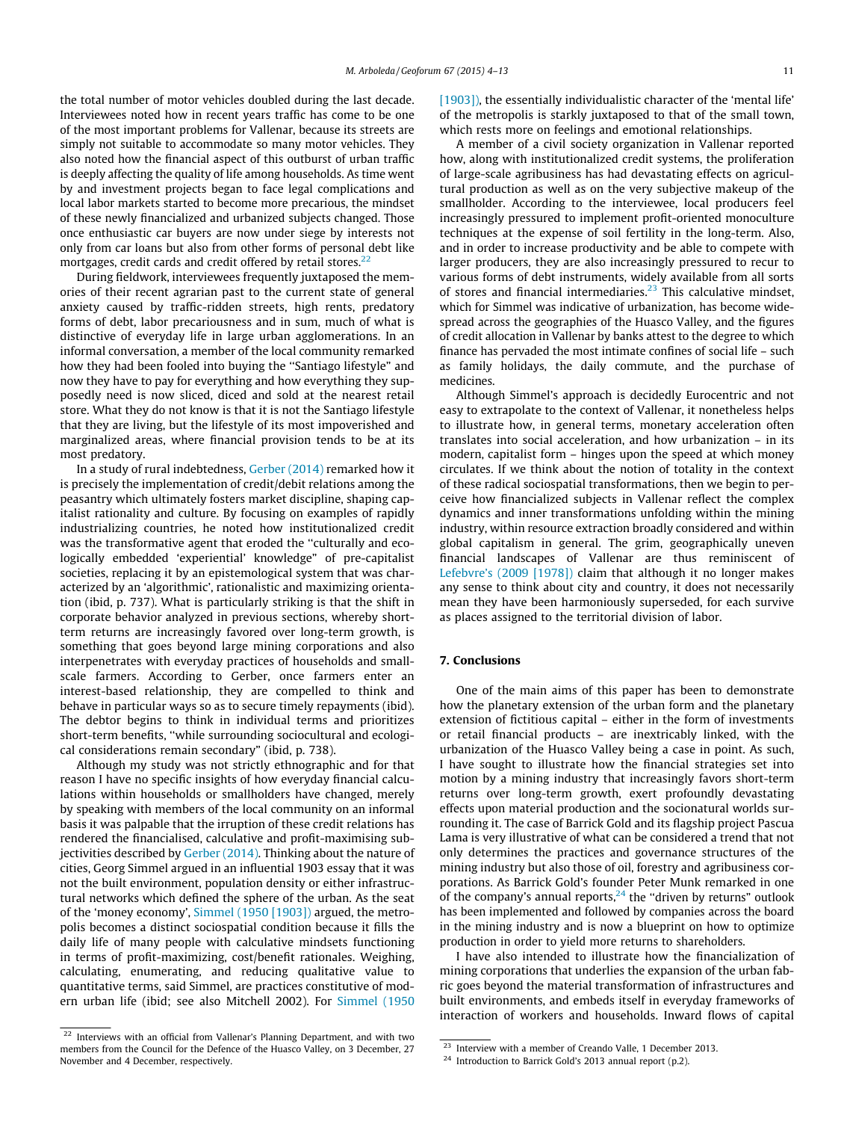the total number of motor vehicles doubled during the last decade. Interviewees noted how in recent years traffic has come to be one of the most important problems for Vallenar, because its streets are simply not suitable to accommodate so many motor vehicles. They also noted how the financial aspect of this outburst of urban traffic is deeply affecting the quality of life among households. As time went by and investment projects began to face legal complications and local labor markets started to become more precarious, the mindset of these newly financialized and urbanized subjects changed. Those once enthusiastic car buyers are now under siege by interests not only from car loans but also from other forms of personal debt like mortgages, credit cards and credit offered by retail stores.<sup>22</sup>

During fieldwork, interviewees frequently juxtaposed the memories of their recent agrarian past to the current state of general anxiety caused by traffic-ridden streets, high rents, predatory forms of debt, labor precariousness and in sum, much of what is distinctive of everyday life in large urban agglomerations. In an informal conversation, a member of the local community remarked how they had been fooled into buying the ''Santiago lifestyle" and now they have to pay for everything and how everything they supposedly need is now sliced, diced and sold at the nearest retail store. What they do not know is that it is not the Santiago lifestyle that they are living, but the lifestyle of its most impoverished and marginalized areas, where financial provision tends to be at its most predatory.

In a study of rural indebtedness, [Gerber \(2014\)](#page-8-0) remarked how it is precisely the implementation of credit/debit relations among the peasantry which ultimately fosters market discipline, shaping capitalist rationality and culture. By focusing on examples of rapidly industrializing countries, he noted how institutionalized credit was the transformative agent that eroded the ''culturally and ecologically embedded 'experiential' knowledge" of pre-capitalist societies, replacing it by an epistemological system that was characterized by an 'algorithmic', rationalistic and maximizing orientation (ibid, p. 737). What is particularly striking is that the shift in corporate behavior analyzed in previous sections, whereby shortterm returns are increasingly favored over long-term growth, is something that goes beyond large mining corporations and also interpenetrates with everyday practices of households and smallscale farmers. According to Gerber, once farmers enter an interest-based relationship, they are compelled to think and behave in particular ways so as to secure timely repayments (ibid). The debtor begins to think in individual terms and prioritizes short-term benefits, ''while surrounding sociocultural and ecological considerations remain secondary" (ibid, p. 738).

Although my study was not strictly ethnographic and for that reason I have no specific insights of how everyday financial calculations within households or smallholders have changed, merely by speaking with members of the local community on an informal basis it was palpable that the irruption of these credit relations has rendered the financialised, calculative and profit-maximising subjectivities described by [Gerber \(2014\).](#page-8-0) Thinking about the nature of cities, Georg Simmel argued in an influential 1903 essay that it was not the built environment, population density or either infrastructural networks which defined the sphere of the urban. As the seat of the 'money economy', [Simmel \(1950 \[1903\]\)](#page-9-0) argued, the metropolis becomes a distinct sociospatial condition because it fills the daily life of many people with calculative mindsets functioning in terms of profit-maximizing, cost/benefit rationales. Weighing, calculating, enumerating, and reducing qualitative value to quantitative terms, said Simmel, are practices constitutive of modern urban life (ibid; see also Mitchell 2002). For [Simmel \(1950](#page-9-0) [\[1903\]\)](#page-9-0), the essentially individualistic character of the 'mental life' of the metropolis is starkly juxtaposed to that of the small town, which rests more on feelings and emotional relationships.

A member of a civil society organization in Vallenar reported how, along with institutionalized credit systems, the proliferation of large-scale agribusiness has had devastating effects on agricultural production as well as on the very subjective makeup of the smallholder. According to the interviewee, local producers feel increasingly pressured to implement profit-oriented monoculture techniques at the expense of soil fertility in the long-term. Also, and in order to increase productivity and be able to compete with larger producers, they are also increasingly pressured to recur to various forms of debt instruments, widely available from all sorts of stores and financial intermediaries.<sup>23</sup> This calculative mindset, which for Simmel was indicative of urbanization, has become widespread across the geographies of the Huasco Valley, and the figures of credit allocation in Vallenar by banks attest to the degree to which finance has pervaded the most intimate confines of social life – such as family holidays, the daily commute, and the purchase of medicines.

Although Simmel's approach is decidedly Eurocentric and not easy to extrapolate to the context of Vallenar, it nonetheless helps to illustrate how, in general terms, monetary acceleration often translates into social acceleration, and how urbanization – in its modern, capitalist form – hinges upon the speed at which money circulates. If we think about the notion of totality in the context of these radical sociospatial transformations, then we begin to perceive how financialized subjects in Vallenar reflect the complex dynamics and inner transformations unfolding within the mining industry, within resource extraction broadly considered and within global capitalism in general. The grim, geographically uneven financial landscapes of Vallenar are thus reminiscent of [Lefebvre's \(2009 \[1978\]\)](#page-8-0) claim that although it no longer makes any sense to think about city and country, it does not necessarily mean they have been harmoniously superseded, for each survive as places assigned to the territorial division of labor.

#### 7. Conclusions

One of the main aims of this paper has been to demonstrate how the planetary extension of the urban form and the planetary extension of fictitious capital – either in the form of investments or retail financial products – are inextricably linked, with the urbanization of the Huasco Valley being a case in point. As such, I have sought to illustrate how the financial strategies set into motion by a mining industry that increasingly favors short-term returns over long-term growth, exert profoundly devastating effects upon material production and the socionatural worlds surrounding it. The case of Barrick Gold and its flagship project Pascua Lama is very illustrative of what can be considered a trend that not only determines the practices and governance structures of the mining industry but also those of oil, forestry and agribusiness corporations. As Barrick Gold's founder Peter Munk remarked in one of the company's annual reports, $24$  the "driven by returns" outlook has been implemented and followed by companies across the board in the mining industry and is now a blueprint on how to optimize production in order to yield more returns to shareholders.

I have also intended to illustrate how the financialization of mining corporations that underlies the expansion of the urban fabric goes beyond the material transformation of infrastructures and built environments, and embeds itself in everyday frameworks of interaction of workers and households. Inward flows of capital

<sup>&</sup>lt;sup>22</sup> Interviews with an official from Vallenar's Planning Department, and with two members from the Council for the Defence of the Huasco Valley, on 3 December, 27 November and 4 December, respectively.

 $\frac{23}{23}$  Interview with a member of Creando Valle, 1 December 2013.

<sup>24</sup> Introduction to Barrick Gold's 2013 annual report (p.2).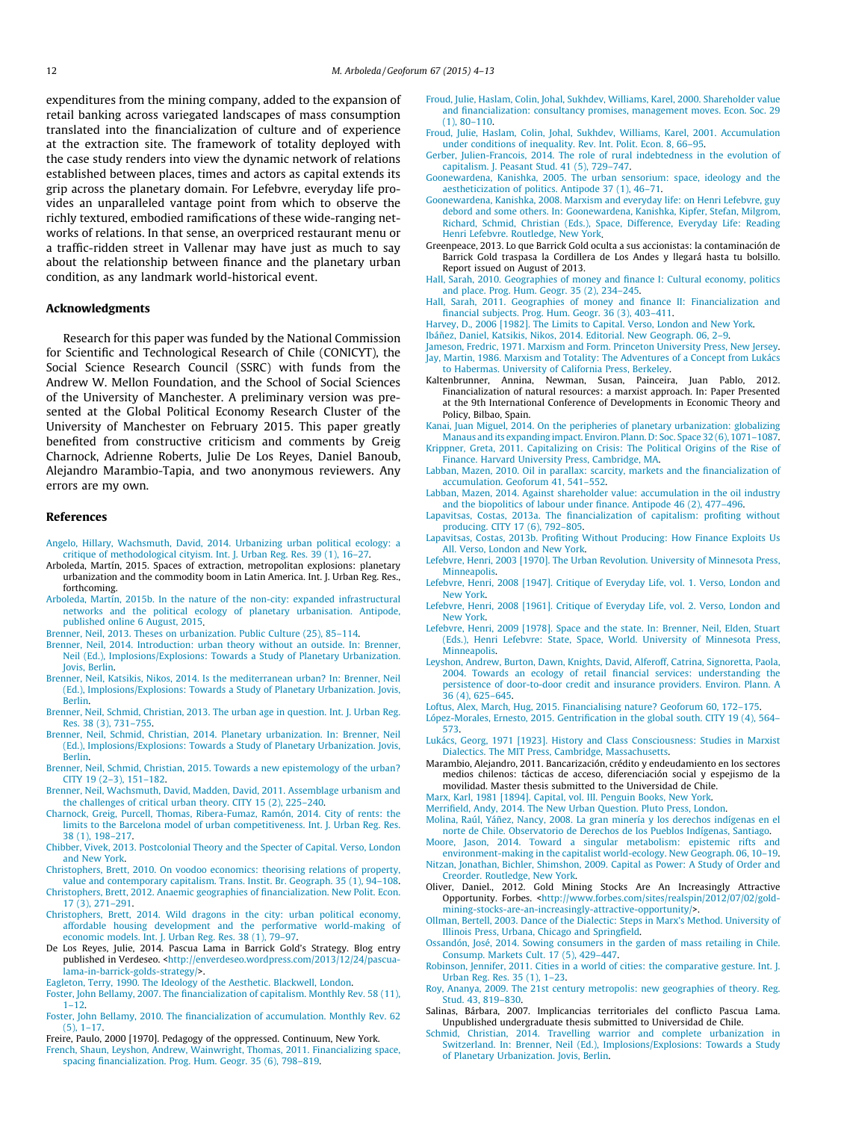<span id="page-8-0"></span>expenditures from the mining company, added to the expansion of retail banking across variegated landscapes of mass consumption translated into the financialization of culture and of experience at the extraction site. The framework of totality deployed with the case study renders into view the dynamic network of relations established between places, times and actors as capital extends its grip across the planetary domain. For Lefebvre, everyday life provides an unparalleled vantage point from which to observe the richly textured, embodied ramifications of these wide-ranging networks of relations. In that sense, an overpriced restaurant menu or a traffic-ridden street in Vallenar may have just as much to say about the relationship between finance and the planetary urban condition, as any landmark world-historical event.

#### Acknowledgments

Research for this paper was funded by the National Commission for Scientific and Technological Research of Chile (CONICYT), the Social Science Research Council (SSRC) with funds from the Andrew W. Mellon Foundation, and the School of Social Sciences of the University of Manchester. A preliminary version was presented at the Global Political Economy Research Cluster of the University of Manchester on February 2015. This paper greatly benefited from constructive criticism and comments by Greig Charnock, Adrienne Roberts, Julie De Los Reyes, Daniel Banoub, Alejandro Marambio-Tapia, and two anonymous reviewers. Any errors are my own.

#### References

- [Angelo, Hillary, Wachsmuth, David, 2014. Urbanizing urban political ecology: a](http://refhub.elsevier.com/S0016-7185(15)30052-X/h0005) [critique of methodological cityism. Int. J. Urban Reg. Res. 39 \(1\), 16–27](http://refhub.elsevier.com/S0016-7185(15)30052-X/h0005).
- Arboleda, Martín, 2015. Spaces of extraction, metropolitan explosions: planetary urbanization and the commodity boom in Latin America. Int. J. Urban Reg. Res., forthcoming.
- [Arboleda, Martín, 2015b. In the nature of the non-city: expanded infrastructural](http://refhub.elsevier.com/S0016-7185(15)30052-X/h0015) [networks and the political ecology of planetary urbanisation. Antipode,](http://refhub.elsevier.com/S0016-7185(15)30052-X/h0015) [published online 6 August, 2015.](http://refhub.elsevier.com/S0016-7185(15)30052-X/h0015)
- [Brenner, Neil, 2013. Theses on urbanization. Public Culture \(25\), 85–114.](http://refhub.elsevier.com/S0016-7185(15)30052-X/h0020)
- [Brenner, Neil, 2014. Introduction: urban theory without an outside. In: Brenner,](http://refhub.elsevier.com/S0016-7185(15)30052-X/h0025) [Neil \(Ed.\), Implosions/Explosions: Towards a Study of Planetary Urbanization.](http://refhub.elsevier.com/S0016-7185(15)30052-X/h0025) [Jovis, Berlin](http://refhub.elsevier.com/S0016-7185(15)30052-X/h0025).
- [Brenner, Neil, Katsikis, Nikos, 2014. Is the mediterranean urban? In: Brenner, Neil](http://refhub.elsevier.com/S0016-7185(15)30052-X/h0030) [\(Ed.\), Implosions/Explosions: Towards a Study of Planetary Urbanization. Jovis,](http://refhub.elsevier.com/S0016-7185(15)30052-X/h0030) [Berlin.](http://refhub.elsevier.com/S0016-7185(15)30052-X/h0030)
- [Brenner, Neil, Schmid, Christian, 2013. The urban age in question. Int. J. Urban Reg.](http://refhub.elsevier.com/S0016-7185(15)30052-X/h0035) [Res. 38 \(3\), 731–755](http://refhub.elsevier.com/S0016-7185(15)30052-X/h0035).
- [Brenner, Neil, Schmid, Christian, 2014. Planetary urbanization. In: Brenner, Neil](http://refhub.elsevier.com/S0016-7185(15)30052-X/h0040) [\(Ed.\), Implosions/Explosions: Towards a Study of Planetary Urbanization. Jovis,](http://refhub.elsevier.com/S0016-7185(15)30052-X/h0040) [Berlin.](http://refhub.elsevier.com/S0016-7185(15)30052-X/h0040)
- [Brenner, Neil, Schmid, Christian, 2015. Towards a new epistemology of the urban?](http://refhub.elsevier.com/S0016-7185(15)30052-X/h0045) [CITY 19 \(2–3\), 151–182.](http://refhub.elsevier.com/S0016-7185(15)30052-X/h0045)
- [Brenner, Neil, Wachsmuth, David, Madden, David, 2011. Assemblage urbanism and](http://refhub.elsevier.com/S0016-7185(15)30052-X/h0050) [the challenges of critical urban theory. CITY 15 \(2\), 225–240](http://refhub.elsevier.com/S0016-7185(15)30052-X/h0050).
- [Charnock, Greig, Purcell, Thomas, Ribera-Fumaz, Ramón, 2014. City of rents: the](http://refhub.elsevier.com/S0016-7185(15)30052-X/h0055) [limits to the Barcelona model of urban competitiveness. Int. J. Urban Reg. Res.](http://refhub.elsevier.com/S0016-7185(15)30052-X/h0055) [38 \(1\), 198–217](http://refhub.elsevier.com/S0016-7185(15)30052-X/h0055).
- [Chibber, Vivek, 2013. Postcolonial Theory and the Specter of Capital. Verso, London](http://refhub.elsevier.com/S0016-7185(15)30052-X/h0060) [and New York.](http://refhub.elsevier.com/S0016-7185(15)30052-X/h0060)
- [Christophers, Brett, 2010. On voodoo economics: theorising relations of property,](http://refhub.elsevier.com/S0016-7185(15)30052-X/h0065)
- [value and contemporary capitalism. Trans. Instit. Br. Geograph. 35 \(1\), 94–108](http://refhub.elsevier.com/S0016-7185(15)30052-X/h0065). [Christophers, Brett, 2012. Anaemic geographies of financialization. New Polit. Econ.](http://refhub.elsevier.com/S0016-7185(15)30052-X/h0070) [17 \(3\), 271–291](http://refhub.elsevier.com/S0016-7185(15)30052-X/h0070).
- [Christophers, Brett, 2014. Wild dragons in the city: urban political economy,](http://refhub.elsevier.com/S0016-7185(15)30052-X/h0075) [affordable housing development and the performative world-making of](http://refhub.elsevier.com/S0016-7185(15)30052-X/h0075) [economic models. Int. J. Urban Reg. Res. 38 \(1\), 79–97.](http://refhub.elsevier.com/S0016-7185(15)30052-X/h0075)
- De Los Reyes, Julie, 2014. Pascua Lama in Barrick Gold's Strategy. Blog entry published in Verdeseo. <[http://enverdeseo.wordpress.com/2013/12/24/pascua](http://enverdeseo.wordpress.com/2013/12/24/pascua-lama-in-barrick-golds-strategy/)[lama-in-barrick-golds-strategy/](http://enverdeseo.wordpress.com/2013/12/24/pascua-lama-in-barrick-golds-strategy/)>.
- [Eagleton, Terry, 1990. The Ideology of the Aesthetic. Blackwell, London.](http://refhub.elsevier.com/S0016-7185(15)30052-X/h0085)
- [Foster, John Bellamy, 2007. The financialization of capitalism. Monthly Rev. 58 \(11\),](http://refhub.elsevier.com/S0016-7185(15)30052-X/h0090) [1–12.](http://refhub.elsevier.com/S0016-7185(15)30052-X/h0090)
- [Foster, John Bellamy, 2010. The financialization of accumulation. Monthly Rev. 62](http://refhub.elsevier.com/S0016-7185(15)30052-X/h0095) [\(5\), 1–17](http://refhub.elsevier.com/S0016-7185(15)30052-X/h0095).
- Freire, Paulo, 2000 [1970]. Pedagogy of the oppressed. Continuum, New York.
- [French, Shaun, Leyshon, Andrew, Wainwright, Thomas, 2011. Financializing space,](http://refhub.elsevier.com/S0016-7185(15)30052-X/h0105) [spacing financialization. Prog. Hum. Geogr. 35 \(6\), 798–819](http://refhub.elsevier.com/S0016-7185(15)30052-X/h0105).
- [Froud, Julie, Haslam, Colin, Johal, Sukhdev, Williams, Karel, 2000. Shareholder value](http://refhub.elsevier.com/S0016-7185(15)30052-X/h0110) [and financialization: consultancy promises, management moves. Econ. Soc. 29](http://refhub.elsevier.com/S0016-7185(15)30052-X/h0110) [\(1\), 80–110.](http://refhub.elsevier.com/S0016-7185(15)30052-X/h0110)
- [Froud, Julie, Haslam, Colin, Johal, Sukhdev, Williams, Karel, 2001. Accumulation](http://refhub.elsevier.com/S0016-7185(15)30052-X/h0115) [under conditions of inequality. Rev. Int. Polit. Econ. 8, 66–95.](http://refhub.elsevier.com/S0016-7185(15)30052-X/h0115)
- [Gerber, Julien-Francois, 2014. The role of rural indebtedness in the evolution of](http://refhub.elsevier.com/S0016-7185(15)30052-X/h0120) [capitalism. J. Peasant Stud. 41 \(5\), 729–747.](http://refhub.elsevier.com/S0016-7185(15)30052-X/h0120)
- [Goonewardena, Kanishka, 2005. The urban sensorium: space, ideology and the](http://refhub.elsevier.com/S0016-7185(15)30052-X/h0125) [aestheticization of politics. Antipode 37 \(1\), 46–71](http://refhub.elsevier.com/S0016-7185(15)30052-X/h0125).
- [Goonewardena, Kanishka, 2008. Marxism and everyday life: on Henri Lefebvre, guy](http://refhub.elsevier.com/S0016-7185(15)30052-X/h0130) [debord and some others. In: Goonewardena, Kanishka, Kipfer, Stefan, Milgrom,](http://refhub.elsevier.com/S0016-7185(15)30052-X/h0130) [Richard, Schmid, Christian \(Eds.\), Space, Difference, Everyday Life: Reading](http://refhub.elsevier.com/S0016-7185(15)30052-X/h0130) [Henri Lefebvre. Routledge, New York.](http://refhub.elsevier.com/S0016-7185(15)30052-X/h0130)
- Greenpeace, 2013. Lo que Barrick Gold oculta a sus accionistas: la contaminación de Barrick Gold traspasa la Cordillera de Los Andes y llegará hasta tu bolsillo. Report issued on August of 2013.
- [Hall, Sarah, 2010. Geographies of money and finance I: Cultural economy, politics](http://refhub.elsevier.com/S0016-7185(15)30052-X/h0140) [and place. Prog. Hum. Geogr. 35 \(2\), 234–245.](http://refhub.elsevier.com/S0016-7185(15)30052-X/h0140)
- [Hall, Sarah, 2011. Geographies of money and finance II: Financialization and](http://refhub.elsevier.com/S0016-7185(15)30052-X/h0145) [financial subjects. Prog. Hum. Geogr. 36 \(3\), 403–411](http://refhub.elsevier.com/S0016-7185(15)30052-X/h0145).
- [Harvey, D., 2006 \[1982\]. The Limits to Capital. Verso, London and New York](http://refhub.elsevier.com/S0016-7185(15)30052-X/h0150).
- [Ibáñez, Daniel, Katsikis, Nikos, 2014. Editorial. New Geograph. 06, 2–9](http://refhub.elsevier.com/S0016-7185(15)30052-X/h0155).
- [Jameson, Fredric, 1971. Marxism and Form. Princeton University Press, New Jersey](http://refhub.elsevier.com/S0016-7185(15)30052-X/h0160). [Jay, Martin, 1986. Marxism and Totality: The Adventures of a Concept from Lukács](http://refhub.elsevier.com/S0016-7185(15)30052-X/h0165) [to Habermas. University of California Press, Berkeley](http://refhub.elsevier.com/S0016-7185(15)30052-X/h0165).
- Kaltenbrunner, Annina, Newman, Susan, Painceira, Juan Pablo, 2012. Financialization of natural resources: a marxist approach. In: Paper Presented at the 9th International Conference of Developments in Economic Theory and Policy, Bilbao, Spain.
- [Kanai, Juan Miguel, 2014. On the peripheries of planetary urbanization: globalizing](http://refhub.elsevier.com/S0016-7185(15)30052-X/h0175) [Manaus and its expanding impact. Environ. Plann. D: Soc. Space 32 \(6\), 1071–1087](http://refhub.elsevier.com/S0016-7185(15)30052-X/h0175).
- [Krippner, Greta, 2011. Capitalizing on Crisis: The Political Origins of the Rise of](http://refhub.elsevier.com/S0016-7185(15)30052-X/h0180) [Finance. Harvard University Press, Cambridge, MA](http://refhub.elsevier.com/S0016-7185(15)30052-X/h0180).
- [Labban, Mazen, 2010. Oil in parallax: scarcity, markets and the financialization of](http://refhub.elsevier.com/S0016-7185(15)30052-X/h0185) [accumulation. Geoforum 41, 541–552.](http://refhub.elsevier.com/S0016-7185(15)30052-X/h0185)
- [Labban, Mazen, 2014. Against shareholder value: accumulation in the oil industry](http://refhub.elsevier.com/S0016-7185(15)30052-X/h0190) [and the biopolitics of labour under finance. Antipode 46 \(2\), 477–496](http://refhub.elsevier.com/S0016-7185(15)30052-X/h0190).
- [Lapavitsas, Costas, 2013a. The financialization of capitalism: profiting without](http://refhub.elsevier.com/S0016-7185(15)30052-X/h0195) [producing. CITY 17 \(6\), 792–805.](http://refhub.elsevier.com/S0016-7185(15)30052-X/h0195)
- [Lapavitsas, Costas, 2013b. Profiting Without Producing: How Finance Exploits Us](http://refhub.elsevier.com/S0016-7185(15)30052-X/h0200) [All. Verso, London and New York](http://refhub.elsevier.com/S0016-7185(15)30052-X/h0200).
- [Lefebvre, Henri, 2003 \[1970\]. The Urban Revolution. University of Minnesota Press,](http://refhub.elsevier.com/S0016-7185(15)30052-X/h0210) [Minneapolis.](http://refhub.elsevier.com/S0016-7185(15)30052-X/h0210)
- [Lefebvre, Henri, 2008 \[1947\]. Critique of Everyday Life, vol. 1. Verso, London and](http://refhub.elsevier.com/S0016-7185(15)30052-X/h0215) [New York.](http://refhub.elsevier.com/S0016-7185(15)30052-X/h0215)
- [Lefebvre, Henri, 2008 \[1961\]. Critique of Everyday Life, vol. 2. Verso, London and](http://refhub.elsevier.com/S0016-7185(15)30052-X/h0220) [New York.](http://refhub.elsevier.com/S0016-7185(15)30052-X/h0220)
- [Lefebvre, Henri, 2009 \[1978\]. Space and the state. In: Brenner, Neil, Elden, Stuart](http://refhub.elsevier.com/S0016-7185(15)30052-X/h0225) [\(Eds.\), Henri Lefebvre: State, Space, World. University of Minnesota Press,](http://refhub.elsevier.com/S0016-7185(15)30052-X/h0225) [Minneapolis.](http://refhub.elsevier.com/S0016-7185(15)30052-X/h0225)
- [Leyshon, Andrew, Burton, Dawn, Knights, David, Alferoff, Catrina, Signoretta, Paola,](http://refhub.elsevier.com/S0016-7185(15)30052-X/h0230) [2004. Towards an ecology of retail financial services: understanding the](http://refhub.elsevier.com/S0016-7185(15)30052-X/h0230) [persistence of door-to-door credit and insurance providers. Environ. Plann. A](http://refhub.elsevier.com/S0016-7185(15)30052-X/h0230) [36 \(4\), 625–645](http://refhub.elsevier.com/S0016-7185(15)30052-X/h0230).
- [Loftus, Alex, March, Hug, 2015. Financialising nature? Geoforum 60, 172–175](http://refhub.elsevier.com/S0016-7185(15)30052-X/h0235).
- [López-Morales, Ernesto, 2015. Gentrification in the global south. CITY 19 \(4\), 564–](http://refhub.elsevier.com/S0016-7185(15)30052-X/h0240) [573](http://refhub.elsevier.com/S0016-7185(15)30052-X/h0240).
- [Lukács, Georg, 1971 \[1923\]. History and Class Consciousness: Studies in Marxist](http://refhub.elsevier.com/S0016-7185(15)30052-X/h0245) [Dialectics. The MIT Press, Cambridge, Massachusetts](http://refhub.elsevier.com/S0016-7185(15)30052-X/h0245).
- Marambio, Alejandro, 2011. Bancarización, crédito y endeudamiento en los sectores medios chilenos: tácticas de acceso, diferenciación social y espejismo de la movilidad. Master thesis submitted to the Universidad de Chile.
- [Marx, Karl, 1981 \[1894\]. Capital, vol. III. Penguin Books, New York.](http://refhub.elsevier.com/S0016-7185(15)30052-X/h0255)
- [Merrifield, Andy, 2014. The New Urban Question. Pluto Press, London.](http://refhub.elsevier.com/S0016-7185(15)30052-X/h0260)
- [Molina, Raúl, Yáñez, Nancy, 2008. La gran minería y los derechos indígenas en el](http://refhub.elsevier.com/S0016-7185(15)30052-X/h0265) [norte de Chile. Observatorio de Derechos de los Pueblos Indígenas, Santiago](http://refhub.elsevier.com/S0016-7185(15)30052-X/h0265).
- [Moore, Jason, 2014. Toward a singular metabolism: epistemic rifts and](http://refhub.elsevier.com/S0016-7185(15)30052-X/h0270) [environment-making in the capitalist world-ecology. New Geograph. 06, 10–19](http://refhub.elsevier.com/S0016-7185(15)30052-X/h0270). [Nitzan, Jonathan, Bichler, Shimshon, 2009. Capital as Power: A Study of Order and](http://refhub.elsevier.com/S0016-7185(15)30052-X/h0275)
- [Creorder. Routledge, New York.](http://refhub.elsevier.com/S0016-7185(15)30052-X/h0275) Oliver, Daniel., 2012. Gold Mining Stocks Are An Increasingly Attractive
- Opportunity. Forbes. <[http://www.forbes.com/sites/realspin/2012/07/02/gold](http://www.forbes.com/sites/realspin/2012/07/02/gold-mining-stocks-are-an-increasingly-attractive-opportunity/)[mining-stocks-are-an-increasingly-attractive-opportunity/>](http://www.forbes.com/sites/realspin/2012/07/02/gold-mining-stocks-are-an-increasingly-attractive-opportunity/).
- [Ollman, Bertell, 2003. Dance of the Dialectic: Steps in Marx's Method. University of](http://refhub.elsevier.com/S0016-7185(15)30052-X/h0285) [Illinois Press, Urbana, Chicago and Springfield](http://refhub.elsevier.com/S0016-7185(15)30052-X/h0285).
- [Ossandón, José, 2014. Sowing consumers in the garden of mass retailing in Chile.](http://refhub.elsevier.com/S0016-7185(15)30052-X/h0290) [Consump. Markets Cult. 17 \(5\), 429–447](http://refhub.elsevier.com/S0016-7185(15)30052-X/h0290).
- [Robinson, Jennifer, 2011. Cities in a world of cities: the comparative gesture. Int. J.](http://refhub.elsevier.com/S0016-7185(15)30052-X/h0295) [Urban Reg. Res. 35 \(1\), 1–23](http://refhub.elsevier.com/S0016-7185(15)30052-X/h0295).
- [Roy, Ananya, 2009. The 21st century metropolis: new geographies of theory. Reg.](http://refhub.elsevier.com/S0016-7185(15)30052-X/h0300) [Stud. 43, 819–830.](http://refhub.elsevier.com/S0016-7185(15)30052-X/h0300)
- Salinas, Bárbara, 2007. Implicancias territoriales del conflicto Pascua Lama. Unpublished undergraduate thesis submitted to Universidad de Chile.
- [Schmid, Christian, 2014. Travelling warrior and complete urbanization in](http://refhub.elsevier.com/S0016-7185(15)30052-X/h0310) [Switzerland. In: Brenner, Neil \(Ed.\), Implosions/Explosions: Towards a Study](http://refhub.elsevier.com/S0016-7185(15)30052-X/h0310) [of Planetary Urbanization. Jovis, Berlin](http://refhub.elsevier.com/S0016-7185(15)30052-X/h0310).